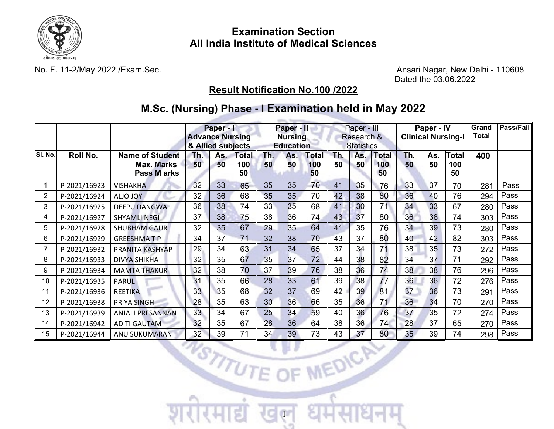

## **Examination Section All India Institute of Medical Sciences**

No. F. 11-2/May 2022 /Exam.Sec. Ansari Nagar, New Delhi - 110608 Dated the 03.06.2022

## **Result Notification No.100 /2022**

# **M.Sc. (Nursing) Phase - I Examination held in May 2022**

|                |                   | Paper - I<br><b>Advance Nursing</b><br>& Allied subjects   |           |    |                        | Paper - II<br><b>Nursing</b><br><b>Education</b> |           |                    | Paper - III<br>Research &<br><b>Statistics</b> |           |                           | Paper - IV<br><b>Clinical Nursing-I</b> |           |                           | Grand<br><b>Total</b> | Pass/Fail |
|----------------|-------------------|------------------------------------------------------------|-----------|----|------------------------|--------------------------------------------------|-----------|--------------------|------------------------------------------------|-----------|---------------------------|-----------------------------------------|-----------|---------------------------|-----------------------|-----------|
| SI. No.        | Roll No.          | <b>Name of Student</b><br><b>Max. Marks</b><br>Pass M arks | Th.<br>50 | 50 | As. Total<br>100<br>50 | Th.<br>50                                        | As.<br>50 | Total<br>100<br>50 | Th.<br>50                                      | As.<br>50 | <b>Total</b><br>100<br>50 | Th.<br>50                               | As.<br>50 | <b>Total</b><br>100<br>50 | 400                   |           |
| 1              | P-2021/16923      | <b>VISHAKHA</b>                                            | 32        | 33 | 65                     | 35                                               | 35        | 70                 | 41                                             | 35        | 76                        | 33                                      | 37        | 70                        | 281                   | Pass      |
| $\overline{2}$ | P-2021/16924      | <b>ALJO JOY</b>                                            | 32        | 36 | 68                     | 35                                               | 35        | 70                 | 42                                             | 38        | 80                        | 36                                      | 40        | 76                        | 294                   | Pass      |
| 3              | P-2021/16925      | <b>DEEPU DANGWAL</b>                                       | 36        | 38 | 74                     | 33                                               | 35        | 68                 | 41                                             | 30        | 71                        | 34                                      | 33        | 67                        | 280                   | Pass      |
| 4              | P-2021/16927      | <b>SHYAMLI NEGI</b>                                        | 37        | 38 | 75                     | 38                                               | 36        | 74                 | 43                                             | 37        | 80                        | 36                                      | 38        | 74                        | 303                   | Pass      |
| 5              | P-2021/16928      | <b>SHUBHAM GAUR</b>                                        | 32        | 35 | 67                     | 29                                               | 35        | 64                 | 41                                             | 35        | 76                        | 34                                      | 39        | 73                        | 280                   | Pass      |
| 6              | P-2021/16929      | <b>GREESHMATP</b>                                          | 34        | 37 | 71                     | 32                                               | 38        | 70                 | 43                                             | 37        | 80                        | 40                                      | 42        | 82                        | 303                   | Pass      |
| $\overline{7}$ | P-2021/16932      | PRANITA KASHYAP                                            | 29        | 34 | 63                     | 31                                               | 34        | 65                 | 37                                             | 34        | 71                        | 38                                      | 35        | 73                        | 272                   | Pass      |
| 8              | P-2021/16933      | <b>DIVYA SHIKHA</b>                                        | 32        | 35 | 67                     | 35                                               | 37        | 72                 | 44                                             | 38        | 82                        | 34                                      | 37        | 71                        | 292                   | Pass      |
| 9              | P-2021/16934      | <b>MAMTA THAKUR</b>                                        | 32        | 38 | 70                     | 37                                               | 39        | 76                 | 38                                             | 36        | 74                        | 38                                      | 38        | 76                        | 296                   | Pass      |
| 10             | P-2021/16935      | <b>PARUL</b>                                               | 31        | 35 | 66                     | 28                                               | 33        | 61                 | 39                                             | 38        | 77                        | 36                                      | 36        | 72                        | 276                   | Pass      |
| 11             | P-2021/16936      | <b>REETIKA</b>                                             | 33        | 35 | 68                     | 32                                               | 37        | 69                 | 42                                             | 39        | 81                        | 37                                      | 36        | 73                        | 291                   | Pass      |
| 12             | P-2021/16938      | PRIYA SINGH                                                | 28        | 35 | 63                     | 30                                               | 36        | 66                 | 35                                             | 36        | 71                        | 36                                      | 34        | 70                        | 270                   | Pass      |
| 13             | P-2021/16939      | ANJALI PRESANNAN                                           | 33        | 34 | 67                     | 25                                               | 34        | 59                 | 40                                             | 36        | 76                        | 37                                      | 35        | 72                        | 274                   | Pass      |
| 14             | P-2021/16942      | <b>ADITI GAUTAM</b>                                        | 32        | 35 | 67                     | 28                                               | 36        | 64                 | 38                                             | 36        | 74                        | 28                                      | 37        | 65                        | 270                   | Pass      |
| 15             | P-2021/16944      | ANU SUKUMARAN                                              | 32        | 39 | 71                     | 34                                               | 39        | 73                 | 43                                             | 37        | 80                        | 35 <sub>1</sub>                         | 39        | 74                        | 298                   | Pass      |
|                | NSTITUTE OF BUCKY |                                                            |           |    |                        |                                                  |           |                    |                                                |           |                           |                                         |           |                           |                       |           |

1